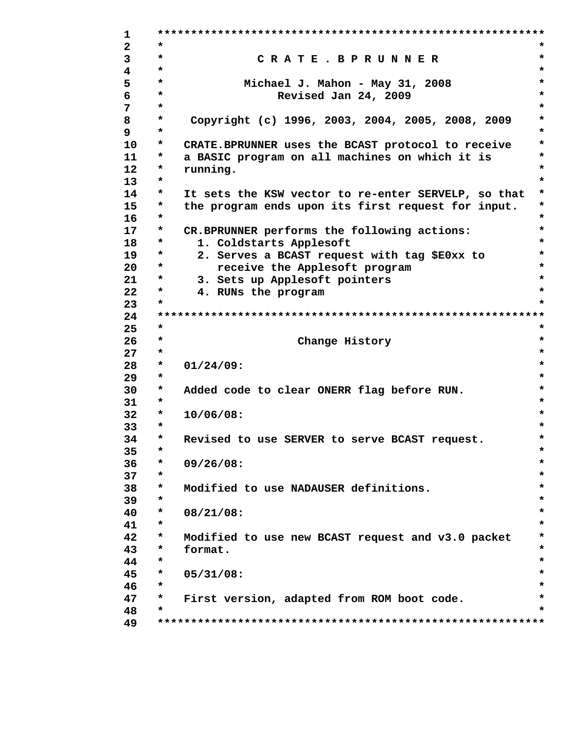$\mathbf{1}$  $\overline{2}$  $\star$ ÷  $\star$  $\star$ 3 CRATE. BPRUNNER  $\star$  $\overline{4}$ ÷ 5  $\star$  $\star$ Michael J. Mahon - May 31, 2008  $\star$ 6  $\star$ Revised Jan 24, 2009  $7\phantom{.}$  $\star$  $\star$ 8  $\star$ Copyright (c) 1996, 2003, 2004, 2005, 2008, 2009 \*  $\mathbf{9}$  $\star$ ÷  $10<sup>1</sup>$  $\star$ CRATE. BPRUNNER uses the BCAST protocol to receive  $\star$  $\star$  $11$  $\star$ a BASIC program on all machines on which it is  $\star$  $12<sup>°</sup>$  $\star$ running.  $\star$  $13<sup>°</sup>$  $\star$ 14  $\star$ It sets the KSW vector to re-enter SERVELP, so that  $15$  $\star$  $\star$ the program ends upon its first request for input.  $\star$  $16<sup>1</sup>$  $\star$  $17$  $\star$ CR.BPRUNNER performs the following actions:  $\star$ 18  $\star$ 1. Coldstarts Applesoft  $\star$  $\star$  $\star$ 19 2. Serves a BCAST request with tag \$E0xx to  $20<sub>o</sub>$  $\star$ receive the Applesoft program  $\star$  $\star$  $21$  $\star$ 3. Sets up Applesoft pointers  $22<sub>2</sub>$  $\star$ 4. RUNs the program  $\star$  $\star$ 23 24 25  $\star$  $\star$  $26$  $\star$ Change History  $\star$  $\star$  $27$  $\star$ 28  $\star$  $\star$  $01/24/09:$ 29  $\star$ 30  $\star$ Added code to clear ONERR flag before RUN.  $\star$  $\star$  $31$  $\star$  $32<sub>2</sub>$  $\star$  $10/06/08:$  $\star$  $\star$ 33 34  $\star$  $\star$ Revised to use SERVER to serve BCAST request. 35  $\star$  $\star$ 36  $09/26/08:$  $\star$  $37$  $\star$  $\star$ 38  $\star$  $\star$ Modified to use NADAUSER definitions.  $\star$ 39  $\star$ 40  $\star$  $08/21/08:$ 41  $\star$ 42  $\star$ Modified to use new BCAST request and v3.0 packet  $\star$ 43  $\star$ format.  $\star$  $\star$ 44  $\star$  $\star$ 45  $\star$  $05/31/08:$  $\star$ 46  $\star$  $\star$ 47  $\star$ First version, adapted from ROM boot code. 48  $\star$ 49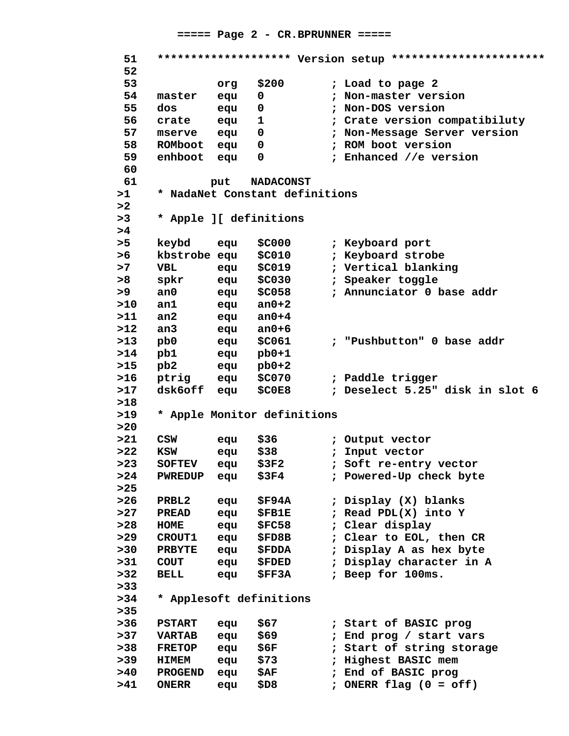#### $====$  Page 2 - CR. BPRUNNER =====

51 \*\*\*\*\*\*\*\*\*\*\*\*\*\*\*\*\*\*\*\* Version setup \*\*\*\*\*\*\*\*\*\*\*\*\*\*\*\*\*\*\*\*\*\*\*\* 52 53  $$200$ ; Load to page 2 org 54 master equ  $\mathbf{0}$ : Non-master version 55 ; Non-DOS version dos equ  $\mathbf 0$ 56 crate equ  $\mathbf{1}$ ; Crate version compatibiluty 57 ; Non-Message Server version mserve equ  $\mathbf 0$ ROMboot equ 58  $\Omega$ : ROM boot version enhboot equ 59  $\mathbf 0$ ; Enhanced //e version 60 61 put **NADACONST**  $>1$ \* NadaNet Constant definitions  $>2$  $>3$ \* Apple ][ definitions  $>4$ ; Keyboard port  $> 5$ keybd equ \$C000 kbstrobe equ **\$C010** ; Keyboard strobe  $>6$  $>7$ **VBL SC019** ; Vertical blanking equ  $> 8$ spkr equ  $$C030$ ; Speaker toggle  $>9$  $an<sub>0</sub>$  $$C058$ ; Annunciator 0 base addr equ  $>10$  $an1$ equ an $0+2$  $>11$  $an2$ an $0+4$ equ  $>12$  $an<sub>3</sub>$  $an0+6$ equ  $>13$  $pb0$  $$C061$ ; "Pushbutton" 0 base addr equ  $>14$ pb1 equ  $pb0+1$  $>15$ pb2 equ  $pb0+2$  $>16$ ; Paddle trigger ptrig equ **\$C070**  $>17$ ; Deselect 5.25" disk in slot 6 dsk6off  $$C0E8$ equ  $>18$  $>19$ \* Apple Monitor definitions  $>20$  $>21$  $$36$ ; Output vector **CSW** equ  $>22$ **KSW** equ  $$38$ ; Input vector ; Soft re-entry vector  $>23$ **SOFTEV** equ  $$3F2$  $>24$ PWREDUP ; Powered-Up check byte equ  $$3F4$  $>25$  $>26$ PRBL2 **\$F94A** ; Display (X) blanks equ  $>27$ ; Read PDL(X) into Y **PREAD \$FB1E** equ  $>28$ **HOME** equ **\$FC58** ; Clear display  $>29$ **CROUT1** ; Clear to EOL, then CR **\$FD8B** equ  $>30$ **PRBYTE** equ **\$FDDA** ; Display A as hex byte  $>31$ ; Display character in A **COUT \$FDED** equ  $>32$ **BELL** equ **SFF3A** ; Beep for 100ms.  $> 33$  $>34$ \* Applesoft definitions  $>35$ **PSTART** equ  $$67$ ; Start of BASIC prog  $>37$ ; End prog / start vars **VARTAB** \$69 equ  $>38$ **FRETOP** equ \$6F ; Start of string storage  $>39$ ; Highest BASIC mem **HIMEM** \$73 equ ; End of BASIC prog  $>40$ PROGEND equ \$AF. ; ONERR flag  $(0 = off)$  $>41$ **ONERR** \$D8 equ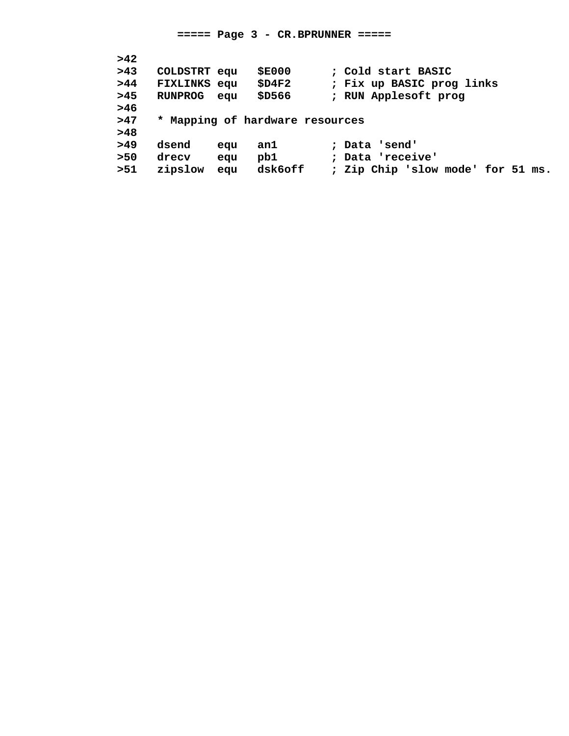| >42   |                     |     |                                 |                                   |
|-------|---------------------|-----|---------------------------------|-----------------------------------|
| >43   | COLDSTRT equ        |     | <b>\$E000</b>                   | ; Cold start BASIC                |
| >44   | <b>FIXLINKS</b> equ |     | \$D4F2                          | ; Fix up BASIC prog links         |
| >45   | <b>RUNPROG</b>      | eau | \$D566                          | ; RUN Applesoft prog              |
| >46   |                     |     |                                 |                                   |
| >47   |                     |     | * Mapping of hardware resources |                                   |
| >48   |                     |     |                                 |                                   |
| >49   | dsend               | equ | an1                             | ; Data 'send'                     |
| $>50$ | drecy               | equ | pb1                             | ; Data 'receive'                  |
| >51   | zipslow             | equ | dsk6off                         | ; Zip Chip 'slow mode' for 51 ms. |
|       |                     |     |                                 |                                   |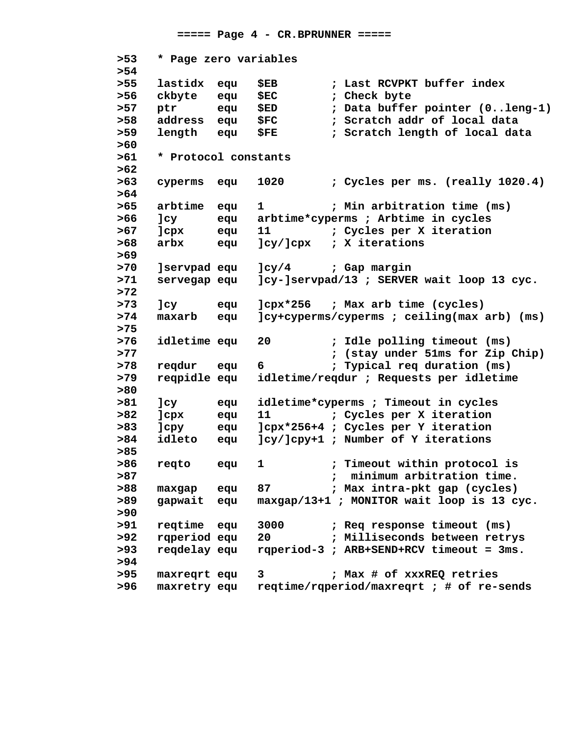**===== Page 4 - CR.BPRUNNER =====**

 **>53 \* Page zero variables >54 >55 lastidx equ \$EB ; Last RCVPKT buffer index >56 ckbyte equ \$EC ; Check byte >57 ptr equ \$ED ; Data buffer pointer (0..leng-1) >58 address equ \$FC ; Scratch addr of local data >59 length equ \$FE ; Scratch length of local data >60 >61 \* Protocol constants >62 >63 cyperms equ 1020 ; Cycles per ms. (really 1020.4) >64 >65 arbtime equ 1 ; Min arbitration time (ms) >66 ]cy equ arbtime\*cyperms ; Arbtime in cycles >67 ]cpx equ 11 ; Cycles per X iteration >68 arbx equ ]cy/]cpx ; X iterations >69 >70 ]servpad equ ]cy/4 ; Gap margin >71 servegap equ ]cy-]servpad/13 ; SERVER wait loop 13 cyc. >72 >73 ]cy equ ]cpx\*256 ; Max arb time (cycles) >74 maxarb equ ]cy+cyperms/cyperms ; ceiling(max arb) (ms) >75 >76 idletime equ 20 ; Idle polling timeout (ms) >77 ; (stay under 51ms for Zip Chip) >78 reqdur equ 6 ; Typical req duration (ms) >79 reqpidle equ idletime/reqdur ; Requests per idletime >80 >81 ]cy equ idletime\*cyperms ; Timeout in cycles >82 ]cpx equ 11 ; Cycles per X iteration >83 ]cpy equ ]cpx\*256+4 ; Cycles per Y iteration >84 idleto equ ]cy/]cpy+1 ; Number of Y iterations >85 >86 reqto equ 1 ; Timeout within protocol is >87 ; minimum arbitration time. >88 maxgap equ 87 ; Max intra-pkt gap (cycles) >89 gapwait equ maxgap/13+1 ; MONITOR wait loop is 13 cyc. >90 >91 reqtime equ 3000 ; Req response timeout (ms) >92 rqperiod equ 20 ; Milliseconds between retrys >93 reqdelay equ rqperiod-3 ; ARB+SEND+RCV timeout = 3ms. >94 >95 maxreqrt equ 3 ; Max # of xxxREQ retries >96 maxretry equ reqtime/rqperiod/maxreqrt ; # of re-sends**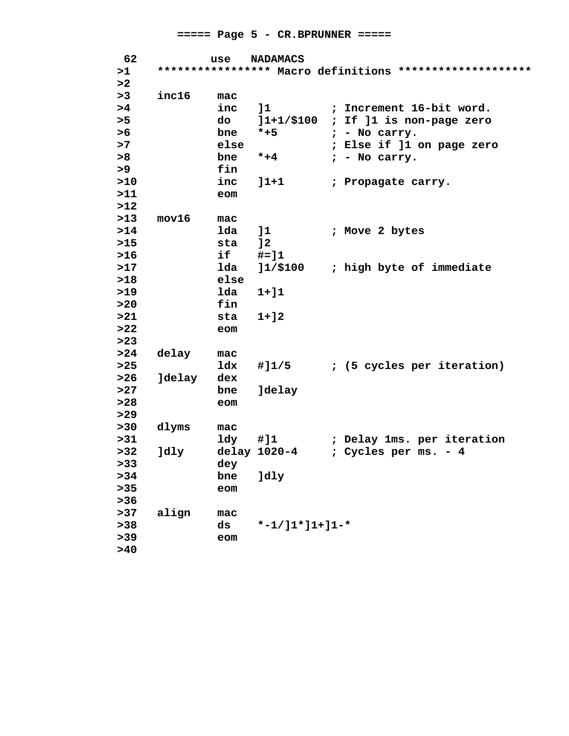| >1<br>***************** Macro definitions *********************<br>>2<br>inc16<br>>3<br>mac<br>inc<br>; Increment 16-bit word.<br>>4<br>11<br>>5<br>do<br>]1+1/\$100<br>; If ]1 is non-page zero<br>>6<br>bne<br>$*+5$<br>$; -$ No carry.<br>>7<br>else<br>; Else if ]1 on page zero<br>>8<br>bne<br>$* + 4$<br>$; -$ No carry.<br>>9<br>fin<br>>10<br>inc<br>$]1 + 1$<br>; Propagate carry.<br>>11<br>eom<br>$>12$<br>$>13$<br>mov16<br>mac<br>$>14$<br>lda<br>11<br>; Move 2 bytes<br>$>15$<br>sta<br>12<br>if<br>$>16$<br>$# = 11$<br>$>17$<br>; high byte of immediate<br>lda<br>11/100<br>>18<br>else<br>>19<br>lda<br>$1 + 11$<br>fin<br>>20<br>>21<br>$1 + 12$<br>sta<br>>22<br>eom<br>$>23$<br>>24<br>delay<br>mac<br>$>25$<br><b>ldx</b><br>; (5 cycles per iteration)<br>#]1/5<br>$>26$<br><b>Jdelay</b><br>dex<br>>27<br>bne<br><b>Jdelay</b><br>>28<br>eom<br>$>29$<br>>30<br>dlyms<br>mac<br>>31<br>ldy<br>#]1<br>; Delay 1ms. per iteration<br>>32<br>delay 1020-4<br>; Cycles per ms. - 4<br>Jdly<br>> 33<br>dey<br>>34<br>]dly<br>bne<br>$>35$<br>eom<br>$>36$<br>$>37$<br>align<br>mac<br>$* - 1 / 11 * 11 + 11 - *$ | 62   | use | <b>NADAMACS</b> |  |
|---------------------------------------------------------------------------------------------------------------------------------------------------------------------------------------------------------------------------------------------------------------------------------------------------------------------------------------------------------------------------------------------------------------------------------------------------------------------------------------------------------------------------------------------------------------------------------------------------------------------------------------------------------------------------------------------------------------------------------------------------------------------------------------------------------------------------------------------------------------------------------------------------------------------------------------------------------------------------------------------------------------------------------------------------------------------------------------------------------------------------------------|------|-----|-----------------|--|
|                                                                                                                                                                                                                                                                                                                                                                                                                                                                                                                                                                                                                                                                                                                                                                                                                                                                                                                                                                                                                                                                                                                                       |      |     |                 |  |
|                                                                                                                                                                                                                                                                                                                                                                                                                                                                                                                                                                                                                                                                                                                                                                                                                                                                                                                                                                                                                                                                                                                                       |      |     |                 |  |
|                                                                                                                                                                                                                                                                                                                                                                                                                                                                                                                                                                                                                                                                                                                                                                                                                                                                                                                                                                                                                                                                                                                                       |      |     |                 |  |
|                                                                                                                                                                                                                                                                                                                                                                                                                                                                                                                                                                                                                                                                                                                                                                                                                                                                                                                                                                                                                                                                                                                                       |      |     |                 |  |
|                                                                                                                                                                                                                                                                                                                                                                                                                                                                                                                                                                                                                                                                                                                                                                                                                                                                                                                                                                                                                                                                                                                                       |      |     |                 |  |
|                                                                                                                                                                                                                                                                                                                                                                                                                                                                                                                                                                                                                                                                                                                                                                                                                                                                                                                                                                                                                                                                                                                                       |      |     |                 |  |
|                                                                                                                                                                                                                                                                                                                                                                                                                                                                                                                                                                                                                                                                                                                                                                                                                                                                                                                                                                                                                                                                                                                                       |      |     |                 |  |
|                                                                                                                                                                                                                                                                                                                                                                                                                                                                                                                                                                                                                                                                                                                                                                                                                                                                                                                                                                                                                                                                                                                                       |      |     |                 |  |
|                                                                                                                                                                                                                                                                                                                                                                                                                                                                                                                                                                                                                                                                                                                                                                                                                                                                                                                                                                                                                                                                                                                                       |      |     |                 |  |
|                                                                                                                                                                                                                                                                                                                                                                                                                                                                                                                                                                                                                                                                                                                                                                                                                                                                                                                                                                                                                                                                                                                                       |      |     |                 |  |
|                                                                                                                                                                                                                                                                                                                                                                                                                                                                                                                                                                                                                                                                                                                                                                                                                                                                                                                                                                                                                                                                                                                                       |      |     |                 |  |
|                                                                                                                                                                                                                                                                                                                                                                                                                                                                                                                                                                                                                                                                                                                                                                                                                                                                                                                                                                                                                                                                                                                                       |      |     |                 |  |
|                                                                                                                                                                                                                                                                                                                                                                                                                                                                                                                                                                                                                                                                                                                                                                                                                                                                                                                                                                                                                                                                                                                                       |      |     |                 |  |
|                                                                                                                                                                                                                                                                                                                                                                                                                                                                                                                                                                                                                                                                                                                                                                                                                                                                                                                                                                                                                                                                                                                                       |      |     |                 |  |
|                                                                                                                                                                                                                                                                                                                                                                                                                                                                                                                                                                                                                                                                                                                                                                                                                                                                                                                                                                                                                                                                                                                                       |      |     |                 |  |
|                                                                                                                                                                                                                                                                                                                                                                                                                                                                                                                                                                                                                                                                                                                                                                                                                                                                                                                                                                                                                                                                                                                                       |      |     |                 |  |
|                                                                                                                                                                                                                                                                                                                                                                                                                                                                                                                                                                                                                                                                                                                                                                                                                                                                                                                                                                                                                                                                                                                                       |      |     |                 |  |
|                                                                                                                                                                                                                                                                                                                                                                                                                                                                                                                                                                                                                                                                                                                                                                                                                                                                                                                                                                                                                                                                                                                                       |      |     |                 |  |
|                                                                                                                                                                                                                                                                                                                                                                                                                                                                                                                                                                                                                                                                                                                                                                                                                                                                                                                                                                                                                                                                                                                                       |      |     |                 |  |
|                                                                                                                                                                                                                                                                                                                                                                                                                                                                                                                                                                                                                                                                                                                                                                                                                                                                                                                                                                                                                                                                                                                                       |      |     |                 |  |
|                                                                                                                                                                                                                                                                                                                                                                                                                                                                                                                                                                                                                                                                                                                                                                                                                                                                                                                                                                                                                                                                                                                                       |      |     |                 |  |
|                                                                                                                                                                                                                                                                                                                                                                                                                                                                                                                                                                                                                                                                                                                                                                                                                                                                                                                                                                                                                                                                                                                                       |      |     |                 |  |
|                                                                                                                                                                                                                                                                                                                                                                                                                                                                                                                                                                                                                                                                                                                                                                                                                                                                                                                                                                                                                                                                                                                                       |      |     |                 |  |
|                                                                                                                                                                                                                                                                                                                                                                                                                                                                                                                                                                                                                                                                                                                                                                                                                                                                                                                                                                                                                                                                                                                                       |      |     |                 |  |
|                                                                                                                                                                                                                                                                                                                                                                                                                                                                                                                                                                                                                                                                                                                                                                                                                                                                                                                                                                                                                                                                                                                                       |      |     |                 |  |
|                                                                                                                                                                                                                                                                                                                                                                                                                                                                                                                                                                                                                                                                                                                                                                                                                                                                                                                                                                                                                                                                                                                                       |      |     |                 |  |
|                                                                                                                                                                                                                                                                                                                                                                                                                                                                                                                                                                                                                                                                                                                                                                                                                                                                                                                                                                                                                                                                                                                                       |      |     |                 |  |
|                                                                                                                                                                                                                                                                                                                                                                                                                                                                                                                                                                                                                                                                                                                                                                                                                                                                                                                                                                                                                                                                                                                                       |      |     |                 |  |
|                                                                                                                                                                                                                                                                                                                                                                                                                                                                                                                                                                                                                                                                                                                                                                                                                                                                                                                                                                                                                                                                                                                                       |      |     |                 |  |
|                                                                                                                                                                                                                                                                                                                                                                                                                                                                                                                                                                                                                                                                                                                                                                                                                                                                                                                                                                                                                                                                                                                                       |      |     |                 |  |
|                                                                                                                                                                                                                                                                                                                                                                                                                                                                                                                                                                                                                                                                                                                                                                                                                                                                                                                                                                                                                                                                                                                                       |      |     |                 |  |
|                                                                                                                                                                                                                                                                                                                                                                                                                                                                                                                                                                                                                                                                                                                                                                                                                                                                                                                                                                                                                                                                                                                                       |      |     |                 |  |
|                                                                                                                                                                                                                                                                                                                                                                                                                                                                                                                                                                                                                                                                                                                                                                                                                                                                                                                                                                                                                                                                                                                                       |      |     |                 |  |
|                                                                                                                                                                                                                                                                                                                                                                                                                                                                                                                                                                                                                                                                                                                                                                                                                                                                                                                                                                                                                                                                                                                                       |      |     |                 |  |
|                                                                                                                                                                                                                                                                                                                                                                                                                                                                                                                                                                                                                                                                                                                                                                                                                                                                                                                                                                                                                                                                                                                                       |      |     |                 |  |
|                                                                                                                                                                                                                                                                                                                                                                                                                                                                                                                                                                                                                                                                                                                                                                                                                                                                                                                                                                                                                                                                                                                                       |      |     |                 |  |
|                                                                                                                                                                                                                                                                                                                                                                                                                                                                                                                                                                                                                                                                                                                                                                                                                                                                                                                                                                                                                                                                                                                                       | > 38 | ds  |                 |  |
| $>39$<br>eom                                                                                                                                                                                                                                                                                                                                                                                                                                                                                                                                                                                                                                                                                                                                                                                                                                                                                                                                                                                                                                                                                                                          |      |     |                 |  |
| >40                                                                                                                                                                                                                                                                                                                                                                                                                                                                                                                                                                                                                                                                                                                                                                                                                                                                                                                                                                                                                                                                                                                                   |      |     |                 |  |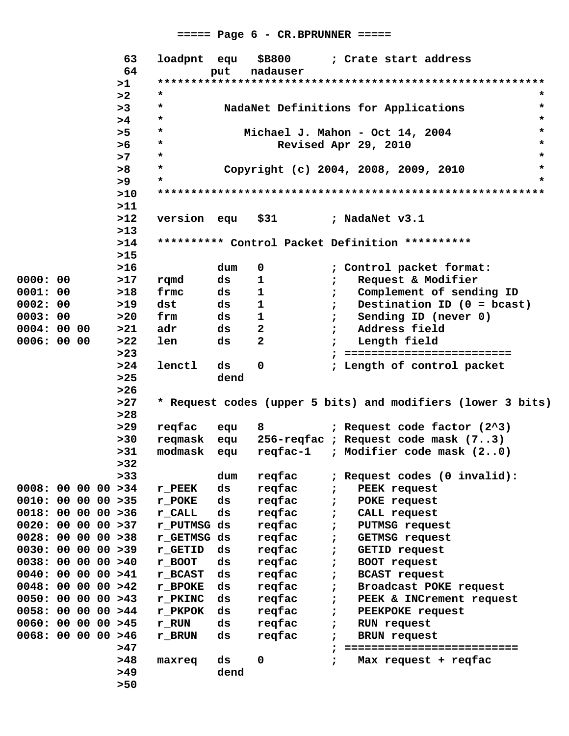## $====$  Page 6 - CR.BPRUNNER =====

|                     |  | 63    | loadpnt equ |      | \$B800       |            | ; Crate start address                                       |         |
|---------------------|--|-------|-------------|------|--------------|------------|-------------------------------------------------------------|---------|
|                     |  | 64    |             | put  | nadauser     |            |                                                             |         |
|                     |  | >1    |             |      |              |            |                                                             |         |
|                     |  | >2    | *           |      |              |            |                                                             | *       |
|                     |  | >3    | $\star$     |      |              |            | NadaNet Definitions for Applications                        | $\star$ |
|                     |  | >4    | *           |      |              |            |                                                             | $\star$ |
|                     |  | >5    | *           |      |              |            | Michael J. Mahon - Oct 14, 2004                             | $\star$ |
|                     |  | >6    | *           |      |              |            | Revised Apr 29, 2010                                        | $\star$ |
|                     |  | >7    | $\star$     |      |              |            |                                                             | $\star$ |
|                     |  | >8    | $\star$     |      |              |            | Copyright (c) 2004, 2008, 2009, 2010                        | $\star$ |
|                     |  | >9    | *           |      |              |            |                                                             | $\star$ |
|                     |  | >10   |             |      |              |            |                                                             |         |
|                     |  | >11   |             |      |              |            |                                                             |         |
|                     |  | $>12$ | version equ |      | \$31         |            | ; NadaNet v3.1                                              |         |
|                     |  | >13   |             |      |              |            |                                                             |         |
|                     |  | >14   |             |      |              |            | ********** Control Packet Definition **********             |         |
|                     |  | $>15$ |             |      |              |            |                                                             |         |
|                     |  | $>16$ |             | dum  | $\mathbf 0$  |            | ; Control packet format:                                    |         |
| 0000:00             |  | >17   | rqmd        | ds   | $\mathbf 1$  |            | Request & Modifier<br>$\ddot{r}$                            |         |
| 0001:00             |  | $>18$ | frmc        | ds   | 1            |            | Complement of sending ID<br>$\ddot{r}$                      |         |
| 0002:00             |  | $>19$ | dst         | ds   | $\mathbf 1$  |            | Destination ID $(0 = \text{bcast})$<br>$\ddot{r}$           |         |
| 0003:00             |  | >20   | frm         | ds   | 1            |            | Sending ID (never 0)<br>$\ddot{r}$                          |         |
| 0004:0000           |  | >21   | adr         | ds   | $\mathbf{2}$ |            | Address field<br>$\ddot{r}$                                 |         |
| 0006: 00 00         |  | >22   | len         | ds   | $\mathbf{2}$ |            | Length field                                                |         |
|                     |  | >23   |             |      |              |            | ==========================                                  |         |
|                     |  | >24   | lenctl      | ds   | 0            |            | ; Length of control packet                                  |         |
|                     |  | $>25$ |             | dend |              |            |                                                             |         |
|                     |  | $>26$ |             |      |              |            |                                                             |         |
|                     |  | >27   |             |      |              |            | * Request codes (upper 5 bits) and modifiers (lower 3 bits) |         |
|                     |  | $>28$ |             |      |              |            |                                                             |         |
|                     |  | >29   | reqfac      | equ  | 8            |            | ; Request code factor (2^3)                                 |         |
|                     |  | >30   | reqmask equ |      |              |            | 256-reqfac ; Request code mask (73)                         |         |
|                     |  | >31   | modmask     | equ  | reqfac-1     |            | ; Modifier code mask (20)                                   |         |
|                     |  | >32   |             |      |              |            |                                                             |         |
|                     |  | > 33  |             | dum  | regfac       |            | ; Request codes (0 invalid):                                |         |
| 0008: 00 00 00 > 34 |  |       | $r$ PEEK    | ds   | regfac       | $\ddot{ }$ | PEEK request                                                |         |
| 0010: 00 00 00 > 35 |  |       | r_POKE      | ds   | reqfac       | $\ddot{ }$ | POKE request                                                |         |
| 0018: 00 00 00 > 36 |  |       | r CALL      | ds   | regfac       | $\ddot{ }$ | CALL request                                                |         |
| 0020: 00 00 00 > 37 |  |       | r PUTMSG ds |      | reqfac       | $\ddot{ }$ | PUTMSG request                                              |         |
| 0028: 00 00 00 > 38 |  |       | r_GETMSG ds |      | regfac       |            | GETMSG request                                              |         |
| 0030: 00 00 00 > 39 |  |       | r_GETID     | ds   | regfac       | $\ddot{ }$ | GETID request                                               |         |
| 0038: 00 00 00 >40  |  |       | $r$ BOOT    | ds   | reqfac       | $\ddot{ }$ | BOOT request                                                |         |
| 0040: 00 00 00 > 41 |  |       | r_BCAST     | ds   | regfac       | $\ddot{ }$ | <b>BCAST</b> request                                        |         |
| 0048: 00 00 00 > 42 |  |       | r_BPOKE     | ds   | reqfac       | $\ddot{ }$ | Broadcast POKE request                                      |         |
| 0050: 00 00 00 > 43 |  |       | r_PKINC     | ds   | reqfac       | $\ddot{ }$ | PEEK & INCrement request                                    |         |
| 0058: 00 00 00 > 44 |  |       | r_PKPOK     | ds   | reqfac       | $\ddot{ }$ | PEEKPOKE request                                            |         |
| 0060: 00 00 00 > 45 |  |       | r_RUN       | ds   | reqfac       | $\ddot{ }$ | RUN request                                                 |         |
| 0068: 00 00 00 > 46 |  |       | r_BRUN      | ds   | regfac       | $\ddot{ }$ | <b>BRUN</b> request                                         |         |
|                     |  | >47   |             |      |              |            | =========================                                   |         |
|                     |  | >48   | maxreq      | ds   | 0            | $\ddot{ }$ | Max request + reqfac                                        |         |
|                     |  | >49   |             | dend |              |            |                                                             |         |
|                     |  | $>50$ |             |      |              |            |                                                             |         |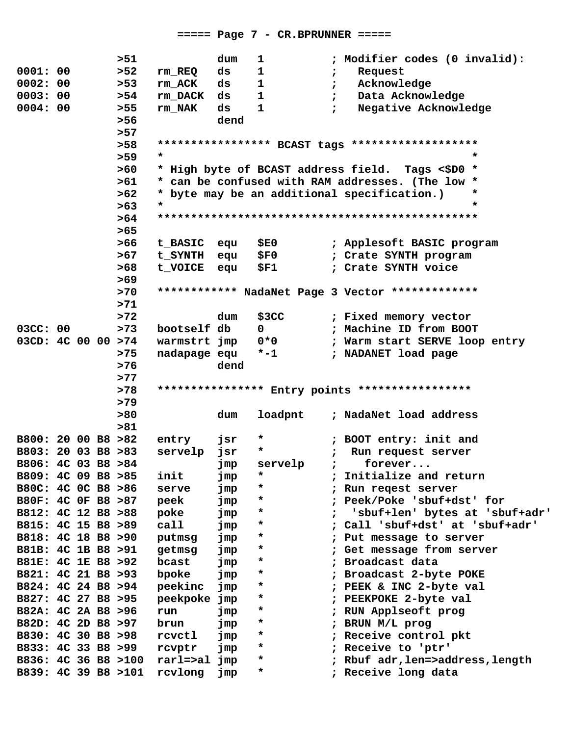|                     |  | >51   |              | dum  | 1            |            | ; Modifier codes (0 invalid):                     |
|---------------------|--|-------|--------------|------|--------------|------------|---------------------------------------------------|
| 0001:00             |  | >52   | rm_REQ       | ds   | $\mathbf{1}$ |            | Request<br>$\ddot{ }$                             |
| 0002:00             |  | $>53$ | rm ACK       | ds   | $\mathbf{1}$ |            | Acknowledge<br>$\ddot{ }$                         |
| 0003:00             |  | >54   | rm_DACK      | ds   | 1            |            | Data Acknowledge<br>$\ddot{ }$                    |
| 0004:00             |  | $>55$ | rm NAK       | ds   | 1            |            | Negative Acknowledge<br>$\ddot{r}$                |
|                     |  | $>56$ |              | dend |              |            |                                                   |
|                     |  | >57   |              |      |              |            |                                                   |
|                     |  | $>58$ |              |      |              |            | ***************** BCAST tags ******************** |
|                     |  | $>59$ | $\star$      |      |              |            | $\star$                                           |
|                     |  | >60   |              |      |              |            | * High byte of BCAST address field. Tags <\$D0 *  |
|                     |  | >61   |              |      |              |            | * can be confused with RAM addresses. (The low *  |
|                     |  |       |              |      |              |            | $\ast$                                            |
|                     |  | >62   | $\star$      |      |              |            | * byte may be an additional specification.)<br>*  |
|                     |  | >63   |              |      |              |            |                                                   |
|                     |  | >64   |              |      |              |            |                                                   |
|                     |  | >65   |              |      |              |            |                                                   |
|                     |  | $>66$ | t_BASIC equ  |      | <b>\$E0</b>  |            | ; Applesoft BASIC program                         |
|                     |  | >67   | t_SYNTH equ  |      | <b>\$F0</b>  |            | ; Crate SYNTH program                             |
|                     |  | >68   | t_VOICE equ  |      | \$F1         |            | ; Crate SYNTH voice                               |
|                     |  | $>69$ |              |      |              |            |                                                   |
|                     |  | >70   |              |      |              |            | ************ NadaNet Page 3 Vector *************  |
|                     |  | >71   |              |      |              |            |                                                   |
|                     |  | $>72$ |              | dum  | \$3CC        |            | ; Fixed memory vector                             |
| 03CC: 00            |  | >73   | bootself db  |      | $\mathbf{0}$ |            | ; Machine ID from BOOT                            |
| 03CD: 4C 00 00 >74  |  |       | warmstrt jmp |      | $0*0$        |            | ; Warm start SERVE loop entry                     |
|                     |  | >75   | nadapage equ |      | $* - 1$      |            | ; NADANET load page                               |
|                     |  | $>76$ |              | dend |              |            |                                                   |
|                     |  | >77   |              |      |              |            |                                                   |
|                     |  | >78   |              |      |              |            | **************** Entry points *****************   |
|                     |  | $>79$ |              |      |              |            |                                                   |
|                     |  | > 80  |              | dum  | loadpnt      |            | ; NadaNet load address                            |
|                     |  | > 81  |              |      |              |            |                                                   |
| B800: 20 00 B8 >82  |  |       | entry        | jsr  | $\star$      |            | ; BOOT entry: init and                            |
| B803: 20 03 B8 >83  |  |       | servelp      | jsr  | $\star$      | $\ddot{ }$ | Run request server                                |
| B806: 4C 03 B8 >84  |  |       |              | jmp  | servelp      |            | forever                                           |
| B809: 4C 09 B8 >85  |  |       | init         | jmp  | *            |            | Initialize and return                             |
| B80C: 4C 0C B8 >86  |  |       | serve        | jmp  | *            | ;<br>;     | Run regest server                                 |
| B80F: 4C OF B8 >87  |  |       | peek         |      | *            |            | Peek/Poke 'sbuf+dst' for                          |
| B812: 4C 12 B8 >88  |  |       |              | jmp  | *            |            |                                                   |
|                     |  |       | poke         | jmp  | *            |            | 'sbuf+len' bytes at 'sbuf+adr'                    |
| B815: 4C 15 B8 >89  |  |       | call         | jmp  |              |            | Call 'sbuf+dst' at 'sbuf+adr'                     |
| B818: 4C 18 B8 > 90 |  |       | putmsg       | jmp  | *            |            | Put message to server                             |
| B81B: 4C 1B B8 >91  |  |       | getmsg       | jmp  | *            |            | Get message from server                           |
| B81E: 4C 1E B8 > 92 |  |       | bcast        | jmp  | *            |            | Broadcast data                                    |
| B821: 4C 21 B8 >93  |  |       | bpoke        | jmp  | *            |            | Broadcast 2-byte POKE                             |
| B824: 4C 24 B8 >94  |  |       | peekinc      | jmp  | *            |            | PEEK & INC 2-byte val                             |
| B827: 4C 27 B8 >95  |  |       | peekpoke     | jmp  | *            |            | PEEKPOKE 2-byte val                               |
| B82A: 4C 2A B8 >96  |  |       | run          | jmp  | *            |            | RUN Applseoft prog                                |
| B82D: 4C 2D B8 > 97 |  |       | brun         | jmp  | *            |            | BRUN M/L prog                                     |
| B830: 4C 30 B8 >98  |  |       | rcvctl       | jmp  | *            |            | Receive control pkt                               |
| B833: 4C 33 B8 >99  |  |       | rcvptr       | jmp  | *            |            | Receive to 'ptr'                                  |
| B836: 4C 36 B8 >100 |  |       | rarl=>al     | jmp  | *            |            | Rbuf adr, len=>address, length                    |
| B839: 4C 39 B8 >101 |  |       | rcvlong      | jmp  | *            |            | Receive long data                                 |
|                     |  |       |              |      |              |            |                                                   |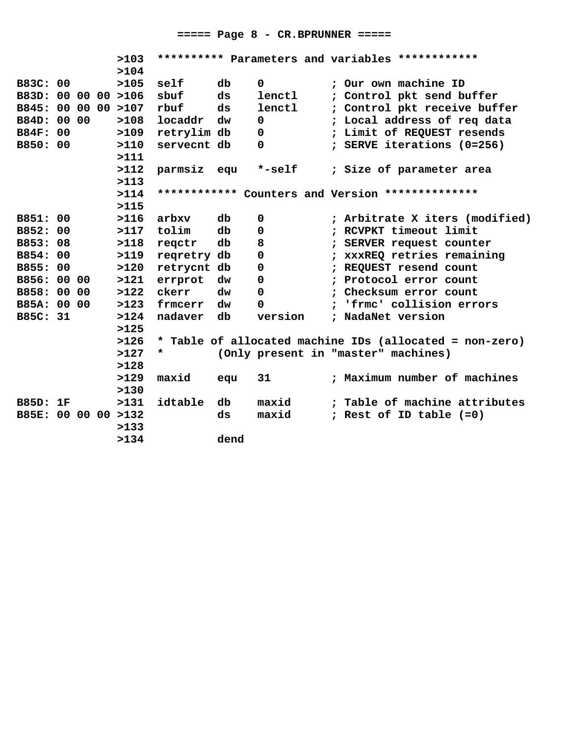## **===== Page 8 - CR.BPRUNNER =====**

|                     |    |  | >103     |             |      |             | ********** Parameters and variables ************        |
|---------------------|----|--|----------|-------------|------|-------------|---------------------------------------------------------|
|                     |    |  | >104     |             |      |             |                                                         |
| B83C: 00            |    |  | >105     | self        | db   | $\Omega$    | ; Our own machine ID                                    |
| B83D: 00 00 00 >106 |    |  |          | sbuf        | ds   | lenctl      | ; Control pkt send buffer                               |
| B845: 00 00         |    |  | 00 > 107 | rbuf        | ds   | lenctl      | ; Control pkt receive buffer                            |
| B84D: 00 00         |    |  | >108     | locaddr     | dw   | 0           | ; Local address of req data                             |
| <b>B84F: 00</b>     |    |  | >109     | retrylim db |      | 0           | ; Limit of REQUEST resends                              |
| B850: 00            |    |  | >110     | servecnt db |      | 0           | ; SERVE iterations (0=256)                              |
|                     |    |  | >111     |             |      |             |                                                         |
|                     |    |  | >112     | parmsiz equ |      | *-self      | ; Size of parameter area                                |
|                     |    |  | >113     |             |      |             |                                                         |
|                     |    |  | >114     |             |      |             | ************ Counters and Version **************        |
|                     |    |  | >115     |             |      |             |                                                         |
| B851: 00            |    |  | >116     | arbxv       | db   | $\mathbf 0$ | ; Arbitrate X iters (modified)                          |
| B852:               | 00 |  | >117     | tolim       | db   | $\mathbf 0$ | ; RCVPKT timeout limit                                  |
| B853: 08            |    |  | >118     | reqctr      | db   | 8           | ; SERVER request counter                                |
| B854:               | 00 |  | >119     | reqretry db |      | 0           | ; xxxREQ retries remaining                              |
| B855: 00            |    |  | >120     | retrycnt db |      | 0           | ; REQUEST resend count                                  |
| B856: 00 00         |    |  | >121     | errprot     | dw   | 0           | ; Protocol error count                                  |
| B858: 00 00         |    |  | >122     | ckerr       | dw   | $\Omega$    | ; Checksum error count                                  |
| B85A: 00 00         |    |  | >123     | frmcerr     | dw   | $\Omega$    | ; 'frmc' collision errors                               |
| B85C: 31            |    |  | >124     | nadaver     | db   | version     | ; NadaNet version                                       |
|                     |    |  | >125     |             |      |             |                                                         |
|                     |    |  | >126     |             |      |             | * Table of allocated machine IDs (allocated = non-zero) |
|                     |    |  | >127     | *           |      |             | (Only present in "master" machines)                     |
|                     |    |  | >128     |             |      |             |                                                         |
|                     |    |  | >129     | maxid       | equ  | 31          | ; Maximum number of machines                            |
|                     |    |  | >130     |             |      |             |                                                         |
| <b>B85D: 1F</b>     |    |  | >131     | idtable     | db   | maxid       | ; Table of machine attributes                           |
| B85E: 00 00 00 >132 |    |  |          |             | ds   | maxid       | ; Rest of ID table (=0)                                 |
|                     |    |  | >133     |             |      |             |                                                         |
|                     |    |  | >134     |             | dend |             |                                                         |
|                     |    |  |          |             |      |             |                                                         |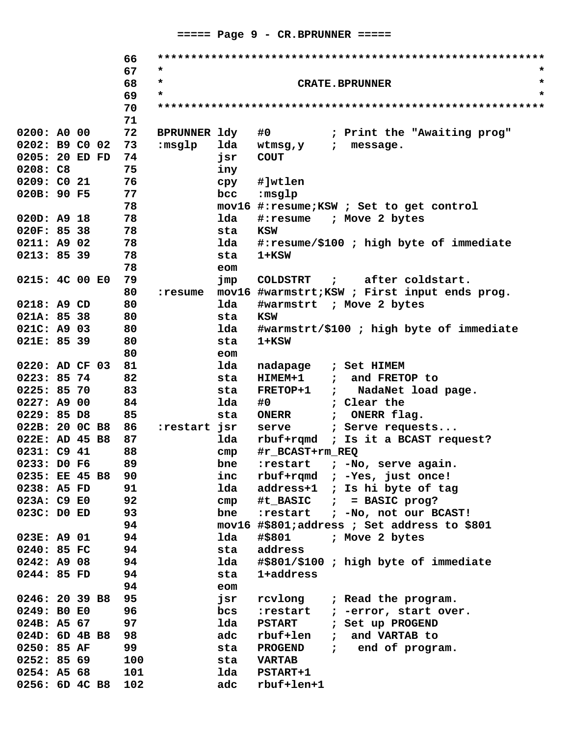|                |  | 66  |              |              |                                                                 |
|----------------|--|-----|--------------|--------------|-----------------------------------------------------------------|
|                |  | 67  | *            |              |                                                                 |
|                |  | 68  | $\star$      |              | $\star$<br><b>CRATE.BPRUNNER</b>                                |
|                |  | 69  | $\star$      |              | $\star$                                                         |
|                |  | 70  |              |              |                                                                 |
|                |  | 71  |              |              |                                                                 |
| 0200: A0 00    |  | 72  | BPRUNNER 1dy |              | #0<br>; Print the "Awaiting prog"                               |
| 0202: B9 C0 02 |  | 73  | :msglp       | lda          | wtmsg,y<br>message.<br>$\ddot{z}$                               |
| 0205: 20 ED FD |  | 74  |              | jsr          | <b>COUT</b>                                                     |
| 0208: C8       |  | 75  |              | iny          |                                                                 |
| 0209: CO 21    |  | 76  |              | cpy          | #]wtlen                                                         |
| 020B: 90 F5    |  | 77  |              | bcc          | :msglp                                                          |
|                |  | 78  |              |              | mov16 #: resume; KSW ; Set to get control                       |
| 020D: A9 18    |  | 78  |              | lda          | #:resume ; Move 2 bytes                                         |
| 020F: 85 38    |  | 78  |              | sta          | <b>KSW</b>                                                      |
| 0211: A9 02    |  | 78  |              | lda          | #:resume/\$100 ; high byte of immediate                         |
| 0213: 85 39    |  | 78  |              | sta          | 1+KSW                                                           |
|                |  | 78  |              | eom          |                                                                 |
| 0215: 4C 00 E0 |  | 79  |              | jmp          | ; after coldstart.<br><b>COLDSTRT</b>                           |
|                |  | 80  | :resume      |              | mov16 #warmstrt; KSW ; First input ends prog.                   |
| 0218: A9 CD    |  | 80  |              | lda          | #warmstrt ; Move 2 bytes                                        |
| 021A: 85 38    |  | 80  |              | sta          | <b>KSW</b>                                                      |
| 021C: A9 03    |  | 80  |              | lda          | #warmstrt/\$100 ; high byte of immediate                        |
| 021E: 85 39    |  | 80  |              | sta          | $1+KSW$                                                         |
|                |  | 80  |              | eom          |                                                                 |
| 0220: AD CF 03 |  | 81  |              | lda          | nadapage<br>; Set HIMEM                                         |
| 0223: 85 74    |  | 82  |              | sta          | <b>HIMEM+1</b><br>and FRETOP to<br>$\ddot{z}$                   |
| 0225: 85 70    |  | 83  |              | sta          | <b>FRETOP+1</b><br>NadaNet load page.<br>$\ddot{z}$             |
| 0227: A900     |  | 84  |              | lda          | ; Clear the<br>#0                                               |
| 0229: 85 D8    |  | 85  |              | sta          | <b>ONERR</b><br>ONERR flag.                                     |
| 022B: 20 OC B8 |  | 86  | :restart jsr |              | $\ddot{z}$<br>; Serve requests                                  |
| 022E: AD 45 B8 |  | 87  |              | lda          | serve<br>rbuf+rqmd ; Is it a BCAST request?                     |
| 0231: C9 41    |  | 88  |              |              | #r BCAST+rm REQ                                                 |
| 0233: DO F6    |  | 89  |              | cmp<br>bne   | :restart                                                        |
| 0235: EE 45 B8 |  | 90  |              |              | ; -No, serve again.                                             |
| 0238: A5 FD    |  | 91  |              | inc<br>lda   | $rbuf+rqmd$ ; -Yes, just once!<br>address+1 ; Is hi byte of tag |
|                |  |     |              |              | #t BASIC $;$ = BASIC prog?                                      |
| 023A: C9 E0    |  | 92  |              | cmp          |                                                                 |
| 023C: DO ED    |  | 93  |              | bne          | ; -No, not our BCAST!<br>:restart                               |
|                |  | 94  |              |              | mov16 #\$801;address ; Set address to \$801                     |
| 023E: A9 01    |  | 94  |              | lda          | #\$801<br>; Move 2 bytes                                        |
| 0240: 85 FC    |  | 94  |              | sta          | address                                                         |
| 0242: A9 08    |  | 94  |              | lda          | #\$801/\$100 ; high byte of immediate                           |
| 0244: 85 FD    |  | 94  |              | sta          | 1+address                                                       |
|                |  | 94  |              | eom          |                                                                 |
| 0246: 20 39 B8 |  | 95  |              | jsr          | rcvlong<br>; Read the program.                                  |
| 0249: BO EO    |  | 96  |              | $_{\rm bcs}$ | ; -error, start over.<br>:restart                               |
| 024B: A5 67    |  | 97  |              | lda          | <b>PSTART</b><br>; Set up PROGEND                               |
| 024D: 6D 4B B8 |  | 98  |              | adc          | rbuf+len<br>and VARTAB to<br>$\ddot{z}$                         |
| 0250: 85 AF    |  | 99  |              | sta          | ; end of program.<br>PROGEND                                    |
| 0252: 85 69    |  | 100 |              | sta          | <b>VARTAB</b>                                                   |
| 0254: A568     |  | 101 |              | lda          | PSTART+1                                                        |
| 0256: 6D 4C B8 |  | 102 |              | adc          | rbuf+len+1                                                      |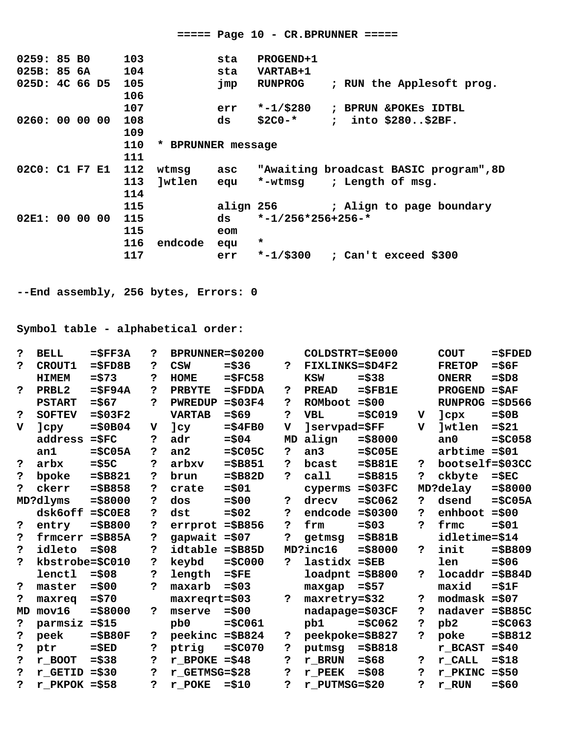$====$  Page 10 - CR.BPRUNNER =====  $0259:85B0$ 103 PROGEND+1 sta 025B: 85 6A 104 sta VARTAB+1 025D: 4C 66 D5 105 RUNPROG ; RUN the Applesoft prog. jmp 106 107 err  $*-1$ /\$280 ; BPRUN & POKES IDTBL 0260: 00 00 00 108  $$2C0-*$  ; into  $$280..$2BF.$ ds 109 110 \* BPRUNNER message 111 02C0: C1 F7 E1 112 wtmsg asc "Awaiting broadcast BASIC program", 8D 113 ]wtlen equ \*-wtmsg ; Length of msg. 114 115 align 256 ; Align to page boundary 02E1: 00 00 00  $* -1/256 * 256 + 256 - *$ 115 ds 115 eom 116 endcode equ  $\star$ err \*-1/\$300 ; Can't exceed \$300 117 --End assembly, 256 bytes, Errors: 0 Symbol table - alphabetical order: דדעם כ  $=$ <FF34 ? RDRIINNER=<br/><br/>000  $COT$  Deter- $\epsilon$ F000  $COTT$  $-$ *c* conco

|    | BELL                  | =5FFJA       | r           | BPRUNNER=ŞUZUU   |                |              | COTDRIKI=2E000  |             |             | COUT.           | =ລະກະກ    |
|----|-----------------------|--------------|-------------|------------------|----------------|--------------|-----------------|-------------|-------------|-----------------|-----------|
| ?  | <b>CROUT1</b>         | $=$ $$FD8B$  | 2           | <b>CSW</b>       | $= $36$        | ?            | FIXLINKS=\$D4F2 |             |             | <b>FRETOP</b>   | $=$ \$6F  |
|    | <b>HIMEM</b>          | $= $73$      | 5           | <b>HOME</b>      | $=$ \$FC58     |              | <b>KSW</b>      | $= $38$     |             | <b>ONERR</b>    | $= $DS$   |
| ?  | PRBL <sub>2</sub>     | $=$ $$$ F94A | 2           | <b>PRBYTE</b>    | <b>=\$FDDA</b> | ?            | <b>PREAD</b>    | $=$ $SFB1E$ |             | <b>PROGEND</b>  | $=$ $SAF$ |
|    | <b>PSTART</b>         | $= $67$      | 2           | <b>PWREDUP</b>   | $= $03F4$      | S.           | ROMboot         | $= $00$     |             | <b>RUNPROG</b>  | $= $D566$ |
| 2  | <b>SOFTEV</b>         | $= $03F2$    |             | <b>VARTAB</b>    | $= $69$        | 5.           | <b>VBL</b>      | $= $C019$   | v           | ]cpx            | $= $0B$   |
| v  | ]cpy                  | $= $0B04$    | $\mathbf v$ | ]cy              | $= $4FBO$      | v            | ]servpad=\$FF   |             | $\mathbf v$ | <b>Jwtlen</b>   | $= $21$   |
|    | address               | $=$ $$FC$    | 2           | adr              | $= $04$        | MD           | align           | $= $8000$   |             | an <sub>0</sub> | $= $C058$ |
|    | an1                   | $=$ \$C05A   | 2           | an2              | $=$ \$C05C     | 5            | an <sub>3</sub> | $= $C05E$   |             | $arbtime = $01$ |           |
| ?  | arbx                  | $= $5C$      | ė.          | arbxv            | $= $B851$      | P.           | bcast           | $= $B81E$   | 2           | bootself=\$03CC |           |
| ?  | bpoke                 | $= $B821$    | 2           | brun             | $= $B82D$      | ?            | call            | $= $B815$   | ?           | ckbyte          | $=$ $$EC$ |
| 7  | ckerr                 | $= $B858$    | 2           | crate            | $= $01$        |              | cyperms         | $= $03FC$   |             | MD?delay        | $= $8000$ |
|    | MD?dlyms              | $= $8000$    | 2           | dos              | $= $00$        | خ.           | drecv           | $= $C062$   | 2           | dsend           | $= $C05A$ |
|    | dsk6off               | $= $C0E8$    | 2           | dst              | $= $02$        | 5            | endcode         | $= $0300$   | 2           | enhboot         | $= $00$   |
| 2  | entry                 | $= $B800$    | 2           | errprot          | $= $B856$      | 2            | frm             | $= $03$     | 2           | frmc            | $= $01$   |
| 2  | frmcerr               | $=$ $$B85A$  | 2           | gapwait $= $07$  |                | b.           | getmsg          | $= $B81B$   |             | idletime=\$14   |           |
| ?  | idleto                | $= $08$      | 2           | idtable = \$B85D |                |              | MD?inc16        | $= $8000$   | 5           | init            | $= $B809$ |
| ?  | kbstrobe=\$C010       |              | 2           | keybd            | $= $C000$      | ?            | lastidx         | $=$ $$EB$   |             | len             | $= $06$   |
|    | lenctl                | $= $08$      | 2           | length           | $=$ $SFE$      |              | loadpnt         | $= $B800$   | 5           | locaddr         | $= $B84D$ |
| 2  | master                | $= $00$      | ė.          | maxarb           | $= $03$        |              | maxgap          | $= $57$     |             | maxid           | $= $1F$   |
| ?  | maxreq                | $= $70$      |             | maxreqrt=\$03    |                | $\mathbf{P}$ | maxretry=\$32   |             | 2           | modmask         | $= $07$   |
| MD | mov16                 | $= $8000$    | P.          | mserve           | $= $00$        |              | nadapage=\$03CF |             | 2           | nadaver         | $=\$B85C$ |
| ?  | parmsiz               | $= $15$      |             | pb <sub>0</sub>  | $= $C061$      |              | pb1             | $= $C062$   | 5           | pb <sub>2</sub> | $= $C063$ |
| ?  | peek                  | $= $B80F$    | 2           | peekinc          | $= $B824$      | 5            | peekpoke=\$B827 |             | P.          | poke            | $= $B812$ |
| 2  | ptr                   | $= $ED$      | 2           | ptrig            | $= $C070$      | 2            | putmsg          | $= $B818$   |             | r BCAST         | $= $40$   |
| 2  | $r$ <sub>_</sub> BOOT | $= $38$      | 2           | $r$ BPOKE = \$48 |                | 5            | r BRUN          | $= $68$     | 2           | r CALL          | $= $18$   |
| ?  | r GETID               | $= $30$      | د.          | r GETMSG=\$28    |                | 5.           | r PEEK          | $= $08$     | خ.          | r PKINC         | $= $50$   |
| ?  | r PKPOK               | $= $58$      | 5           | r POKE           | $= $10$        | 5.           | r PUTMSG=\$20   |             | 5           | r RUN           | $= $60$   |
|    |                       |              |             |                  |                |              |                 |             |             |                 |           |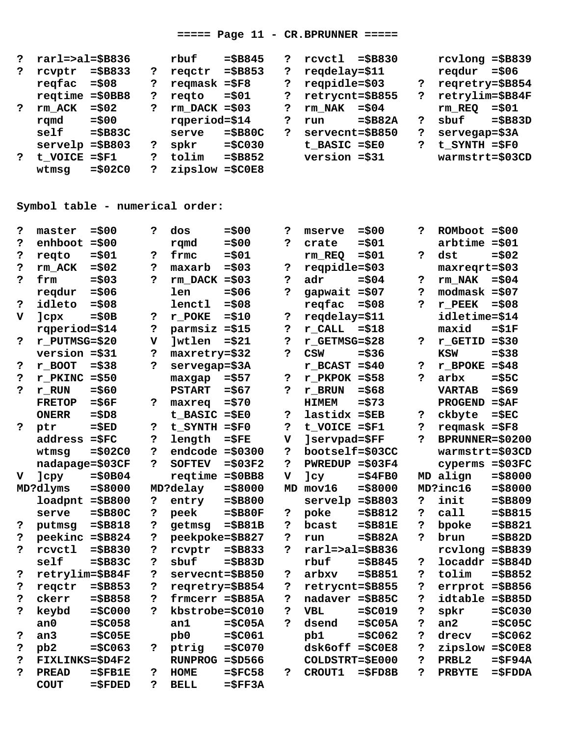#### $====$  Page 11 - CR.BPRUNNER =====

| ?            | $r$ arl=>al=\$B836 |            |   | rbuf            | $= $B845$   | ? | rcvctl            | $=$ SB830 |   | $rcvlong = $B839$  |           |
|--------------|--------------------|------------|---|-----------------|-------------|---|-------------------|-----------|---|--------------------|-----------|
|              | rcvptr             | $=$ \$B833 | ? | regctr          | $= $B853$   | 2 | regdelay=\$11     |           |   | regdur             | $=$ \$06  |
|              | regfac             | $=$ \$08   | ? | reqmask $= $F8$ |             | ? | $reqpidle = $03$  |           | ? | regretry=\$B854    |           |
|              | regtime            | $= $0BB8$  | ? | reato           | $=$ \$01    | ? | retrycnt=\$B855   |           | ? | retrylim=\$B84F    |           |
|              | rm ACK             | $=$ \$02   | ? | $rm$ DACK =\$03 |             | ? | rm NAK            | $=$ \$04  |   | rm REO             | $= $01$   |
|              | rqmd               | $= $00$    |   | rqperiod=\$14   |             | ? | run               | $= $B82A$ | ? | sbuf               | $=\$B83D$ |
|              | self               | $= $B83C$  |   | serve           | $=$ \$B80C  | ? | servecnt=\$B850   |           | ? | $s$ ervegap= $$3A$ |           |
|              | servelp            | $= $B803$  | 2 | spkr            | $= $C030$   |   | $t$ BASIC = $$E0$ |           | ? | $t$ SYNTH = $$F0$  |           |
| $\mathbf{P}$ | t VOICE            | $=$ $SF1$  | ? | tolim           | $= $B852$   |   | $version = $31$   |           |   | warmstrt=\$03CD    |           |
|              | wtmsg              | $= $02C0$  | ? | zipslow         | $=$ $$C0E8$ |   |                   |           |   |                    |           |

# Symbol table - numerical order:

| 2            | master          | $= $00$      | 5                       | dos               | $=$ \$00    | 2                       | mserve             | $= $00$     | 2  | $ROMboot = $00$   |                    |
|--------------|-----------------|--------------|-------------------------|-------------------|-------------|-------------------------|--------------------|-------------|----|-------------------|--------------------|
| 5            | enhboot         | $= $00$      |                         | rqmd              | $= $00$     | P.                      | crate              | $= $01$     |    | $arbtime = $01$   |                    |
| 2            | regto           | $= $01$      | 5                       | frmc              | $= $01$     |                         | rm REQ             | $= $01$     | 5. | dst               | $= $02$            |
| 5            | rm ACK          | $= $02$      | د.                      | maxarb            | $= $03$     | خ.                      | $reqpidle = $03$   |             |    | $maxeqrt = $03$   |                    |
| P.           | frm             | $= $03$      | b.                      | $rm$ DACK =\$03   |             | ?                       | adr                | $= $04$     | 5  | rm NAK            | $=$ \$04           |
|              | regdur          | $= $06$      |                         | len               | $= $06$     | b.                      | gapwait $= $07$    |             | 5  | $modmask = $07$   |                    |
| 2            | idleto          | $= $08$      |                         | lenctl            | $= $08$     |                         | regfac             | $= $08$     | 2  | r PEEK            | $= $08$            |
| v            | ]cpx            | $= $0B$      | ?                       | r POKE            | $= $10$     | Ś.                      | regdelay=\$11      |             |    | idletime=\$14     |                    |
|              | rqperiod=\$14   |              | Ś.                      | parmsiz           | $= $15$     | Ś.                      | $r$ CALL           | $= $18$     |    | maxid             | $= $1F$            |
| <sup>2</sup> | r PUTMSG=\$20   |              | $\overline{\mathbf{v}}$ | <b>Jwtlen</b>     | $= $21$     | ?                       | r GETMSG=\$28      |             | 2  | r GETID           | $= $30$            |
|              | $version = $31$ |              | 5                       | maxretry=\$32     |             | د.                      | CSW                | $=$ \$36    |    | <b>KSW</b>        | $= $38$            |
| ?            | r BOOT          | $= $38$      | P.                      | servegap=\$3A     |             |                         | $r$ BCAST = \$40   |             | Ś. | $r$ _BPOKE        | $= $48$            |
| 5            | r PKINC         | $= $50$      |                         | maxgap            | $= $57$     | Ś.                      | $r$ PKPOK = \$58   |             | 5. | arbx              | $= $5C$            |
| 2            | r RUN           | $= $60$      |                         | <b>PSTART</b>     | $= $67$     | ?                       | r BRUN             | $= $68$     |    | <b>VARTAB</b>     | $= $69$            |
|              | <b>FRETOP</b>   | $=$ \$6F     | 5                       | maxreq            | $= $70$     |                         | <b>HIMEM</b>       | $= $73$     |    | <b>PROGEND</b>    | $= $AF$            |
|              | <b>ONERR</b>    | $= $DS$      |                         | t BASIC           | $= $E0$     | Ś.                      | $lastidx =$ $SEB$  |             | Ś. | ckbyte            | $=\$EC$            |
| <sup>2</sup> | ptr             | $=\$ED$      | $\mathbf{P}$            | $t$ SYNTH = $$F0$ |             | Ś.                      | $t$ VOICE = $$F1$  |             | 5. | $reqmask = $F8$   |                    |
|              | address         | $=$ $$FC$    | 5.                      | length            | $=$ $SFE$   | $\overline{\mathbf{v}}$ | ]servpad=\$FF      |             | ė. | BPRUNNER=\$0200   |                    |
|              | wtmsg           | $= $02C0$    | 2                       | $endcode = $0300$ |             | S.                      | bootself=\$03CC    |             |    | warmstrt=\$03CD   |                    |
|              | nadapage=\$03CF |              | P.                      | <b>SOFTEV</b>     | $= $03F2$   | P.                      | <b>PWREDUP</b>     | $= $03F4$   |    | cyperms           | $= $03FC$          |
| $\mathbf v$  | <b>]cpy</b>     | $= $0B04$    |                         | regtime           | $= $0BB8$   | v                       | Jcy                | $= $4FBO$   |    | MD align          | $= $8000$          |
|              | MD?dlyms        | $= $8000$    |                         | MD?delay          | $= $8000$   | MD                      | mov16              | $= $8000$   |    | MD?inc16          | $= $8000$          |
|              | loadpnt         | $= $B800$    | Ś.                      | entry             | $= $B800$   |                         | servelp            | $= $B803$   | ?  | init              | $= $B809$          |
|              | serve           | $= $B80C$    | 5.                      | peek              | $= $B80F$   | خ.                      | poke               | $= $B812$   | 5. | cal1              | $= $B815$          |
| 5            | putmsg          | $= $B818$    | 5.                      | getmsg            | $= $B81B$   | S.                      | bcast              | $= $B81E$   | 5. | bpoke             | $= $B821$          |
| ?            | peekinc =\$B824 |              | د.                      | peekpoke=\$B827   |             | د.                      | run                | $= $B82A$   | ė. | brun              | $= $B82D$          |
| 2            | rcvctl          | $= $B830$    | 5                       | rcvptr            | $= $B833$   | b.                      | $r$ arl=>al=\$B836 |             |    | rcvlong           | $= $B839$          |
|              | self            | $= $B83C$    | د.                      | sbuf              | $= $B83D$   |                         | rbuf               | $= $B845$   | ?  | locaddr           | $=\$B84D$          |
| ?            | retrylim=\$B84F |              | د.                      | servecnt=\$B850   |             | Ś.                      | arbxv              | $= $B851$   | 5  | tolim             | $= $B852$          |
| Ś.           | reqctr          | $= $B853$    | $\ddot{\mathbf{c}}$     | regretry=\$B854   |             | Ś.                      | retrycnt=\$B855    |             | 5. | errprot           | $= $B856$          |
| ?            | ckerr           | $= $B858$    | د.                      | frmcerr =\$B85A   |             | Ś.                      | nadaver = \$B85C   |             | 5. | idtable           | $=\$B85D$          |
| 5            | keybd           | $= $C000$    | P.                      | kbstrobe=\$C010   |             | S.                      | <b>VBL</b>         | $= $C019$   | 5. | spkr              | $= $C030$          |
|              | an <sub>0</sub> | $= $C058$    |                         | an1               | $= $C05A$   | P.                      | dsend              | $= $C05A$   | 5  | an <sub>2</sub>   | $= $C05C$          |
| Ś.           | an <sub>3</sub> | $=$ \$C05E   |                         | pb <sub>0</sub>   | $= $C061$   |                         | pb1                | $= $C062$   | Ċ. | drecv             | $= $C062$          |
| Ś.           | pb <sub>2</sub> | $= $C063$    | $\mathbf{P}$            | ptrig             | $= $C070$   |                         | $dsk6off = $C0E8$  |             | 5  | zipslow           | $=\frac{2}{3}COEB$ |
| ?            | FIXLINKS=\$D4F2 |              |                         | $RUNPROG = $D566$ |             |                         | COLDSTRT=\$E000    |             |    | PRBL <sub>2</sub> | $=$ $$$ F94A       |
| 2            | <b>PREAD</b>    | $=$ $$$ FB1E | 5                       | <b>HOME</b>       | $=$ $$FC58$ | 2                       | CROUT1             | $=$ $$FDBB$ | 5. | <b>PRBYTE</b>     | $=\$FDDA$          |
|              | <b>COUT</b>     | $=\$FDED$    | 5.                      | <b>BELL</b>       | $=$ $SFF3A$ |                         |                    |             |    |                   |                    |
|              |                 |              |                         |                   |             |                         |                    |             |    |                   |                    |